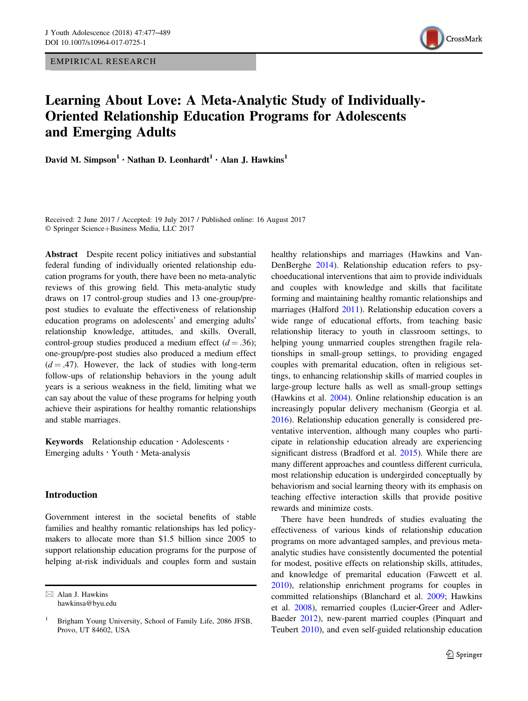EMPIRICAL RESEARCH



# Learning About Love: A Meta-Analytic Study of Individually-Oriented Relationship Education Programs for Adolescents and Emerging Adults

David M. Simpson<sup>1</sup> • Nathan D. Leonhardt<sup>1</sup> • Alan J. Hawkins<sup>1</sup>

Received: 2 June 2017 / Accepted: 19 July 2017 / Published online: 16 August 2017 © Springer Science+Business Media, LLC 2017

Abstract Despite recent policy initiatives and substantial federal funding of individually oriented relationship education programs for youth, there have been no meta-analytic reviews of this growing field. This meta-analytic study draws on 17 control-group studies and 13 one-group/prepost studies to evaluate the effectiveness of relationship education programs on adolescents' and emerging adults' relationship knowledge, attitudes, and skills. Overall, control-group studies produced a medium effect  $(d = .36)$ ; one-group/pre-post studies also produced a medium effect  $(d = .47)$ . However, the lack of studies with long-term follow-ups of relationship behaviors in the young adult years is a serious weakness in the field, limiting what we can say about the value of these programs for helping youth achieve their aspirations for healthy romantic relationships and stable marriages.

Keywords Relationship education · Adolescents · Emerging adults  $\cdot$  Youth  $\cdot$  Meta-analysis

# Introduction

Government interest in the societal benefits of stable families and healthy romantic relationships has led policymakers to allocate more than \$1.5 billion since 2005 to support relationship education programs for the purpose of helping at-risk individuals and couples form and sustain

 $\boxtimes$  Alan J. Hawkins [hawkinsa@byu.edu](mailto:hawkinsa@byu.edu) healthy relationships and marriages (Hawkins and Van-DenBerghe [2014\)](#page-10-0). Relationship education refers to psychoeducational interventions that aim to provide individuals and couples with knowledge and skills that facilitate forming and maintaining healthy romantic relationships and marriages (Halford [2011\)](#page-10-0). Relationship education covers a wide range of educational efforts, from teaching basic relationship literacy to youth in classroom settings, to helping young unmarried couples strengthen fragile relationships in small-group settings, to providing engaged couples with premarital education, often in religious settings, to enhancing relationship skills of married couples in large-group lecture halls as well as small-group settings (Hawkins et al. [2004](#page-11-0)). Online relationship education is an increasingly popular delivery mechanism (Georgia et al. [2016](#page-10-0)). Relationship education generally is considered preventative intervention, although many couples who participate in relationship education already are experiencing significant distress (Bradford et al. [2015](#page-10-0)). While there are many different approaches and countless different curricula, most relationship education is undergirded conceptually by behaviorism and social learning theory with its emphasis on teaching effective interaction skills that provide positive rewards and minimize costs.

There have been hundreds of studies evaluating the effectiveness of various kinds of relationship education programs on more advantaged samples, and previous metaanalytic studies have consistently documented the potential for modest, positive effects on relationship skills, attitudes, and knowledge of premarital education (Fawcett et al. [2010](#page-10-0)), relationship enrichment programs for couples in committed relationships (Blanchard et al. [2009;](#page-10-0) Hawkins et al. [2008](#page-11-0)), remarried couples (Lucier‐Greer and Adler‐ Baeder [2012\)](#page-11-0), new-parent married couples (Pinquart and Teubert [2010](#page-11-0)), and even self-guided relationship education

<sup>1</sup> Brigham Young University, School of Family Life, 2086 JFSB, Provo, UT 84602, USA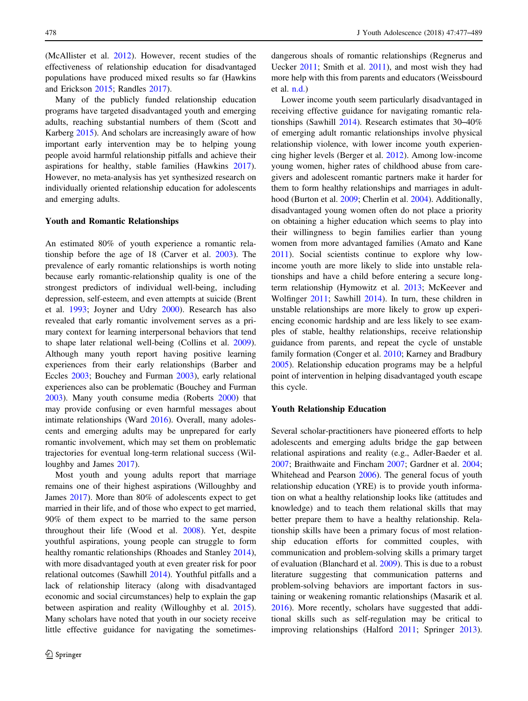(McAllister et al. [2012](#page-11-0)). However, recent studies of the effectiveness of relationship education for disadvantaged populations have produced mixed results so far (Hawkins and Erickson [2015](#page-11-0); Randles [2017](#page-11-0)).

Many of the publicly funded relationship education programs have targeted disadvantaged youth and emerging adults, reaching substantial numbers of them (Scott and Karberg [2015](#page-12-0)). And scholars are increasingly aware of how important early intervention may be to helping young people avoid harmful relationship pitfalls and achieve their aspirations for healthy, stable families (Hawkins [2017](#page-11-0)). However, no meta-analysis has yet synthesized research on individually oriented relationship education for adolescents and emerging adults.

#### Youth and Romantic Relationships

An estimated 80% of youth experience a romantic relationship before the age of 18 (Carver et al. [2003](#page-10-0)). The prevalence of early romantic relationships is worth noting because early romantic-relationship quality is one of the strongest predictors of individual well-being, including depression, self-esteem, and even attempts at suicide (Brent et al. [1993](#page-10-0); Joyner and Udry [2000\)](#page-11-0). Research has also revealed that early romantic involvement serves as a primary context for learning interpersonal behaviors that tend to shape later relational well-being (Collins et al. [2009](#page-10-0)). Although many youth report having positive learning experiences from their early relationships (Barber and Eccles [2003;](#page-9-0) Bouchey and Furman [2003](#page-9-0)), early relational experiences also can be problematic (Bouchey and Furman [2003\)](#page-9-0). Many youth consume media (Roberts [2000](#page-11-0)) that may provide confusing or even harmful messages about intimate relationships (Ward [2016\)](#page-12-0). Overall, many adolescents and emerging adults may be unprepared for early romantic involvement, which may set them on problematic trajectories for eventual long-term relational success (Willoughby and James [2017](#page-12-0)).

Most youth and young adults report that marriage remains one of their highest aspirations (Willoughby and James [2017\)](#page-12-0). More than 80% of adolescents expect to get married in their life, and of those who expect to get married, 90% of them expect to be married to the same person throughout their life (Wood et al. [2008](#page-12-0)). Yet, despite youthful aspirations, young people can struggle to form healthy romantic relationships (Rhoades and Stanley [2014](#page-11-0)), with more disadvantaged youth at even greater risk for poor relational outcomes (Sawhill [2014\)](#page-11-0). Youthful pitfalls and a lack of relationship literacy (along with disadvantaged economic and social circumstances) help to explain the gap between aspiration and reality (Willoughby et al. [2015](#page-12-0)). Many scholars have noted that youth in our society receive little effective guidance for navigating the sometimesdangerous shoals of romantic relationships (Regnerus and Uecker [2011](#page-11-0); Smith et al. [2011](#page-12-0)), and most wish they had more help with this from parents and educators (Weissbourd et al. [n.d.](#page-12-0))

Lower income youth seem particularly disadvantaged in receiving effective guidance for navigating romantic relationships (Sawhill [2014\)](#page-11-0). Research estimates that 30–40% of emerging adult romantic relationships involve physical relationship violence, with lower income youth experiencing higher levels (Berger et al. [2012\)](#page-9-0). Among low-income young women, higher rates of childhood abuse from caregivers and adolescent romantic partners make it harder for them to form healthy relationships and marriages in adulthood (Burton et al. [2009;](#page-10-0) Cherlin et al. [2004](#page-10-0)). Additionally, disadvantaged young women often do not place a priority on obtaining a higher education which seems to play into their willingness to begin families earlier than young women from more advantaged families (Amato and Kane [2011](#page-9-0)). Social scientists continue to explore why lowincome youth are more likely to slide into unstable relationships and have a child before entering a secure longterm relationship (Hymowitz et al. [2013](#page-11-0); McKeever and Wolfinger [2011](#page-11-0); Sawhill [2014](#page-11-0)). In turn, these children in unstable relationships are more likely to grow up experiencing economic hardship and are less likely to see examples of stable, healthy relationships, receive relationship guidance from parents, and repeat the cycle of unstable family formation (Conger et al. [2010;](#page-10-0) Karney and Bradbury [2005](#page-11-0)). Relationship education programs may be a helpful point of intervention in helping disadvantaged youth escape this cycle.

#### Youth Relationship Education

Several scholar-practitioners have pioneered efforts to help adolescents and emerging adults bridge the gap between relational aspirations and reality (e.g., Adler-Baeder et al. [2007](#page-9-0); Braithwaite and Fincham [2007;](#page-10-0) Gardner et al. [2004;](#page-10-0) Whitehead and Pearson [2006\)](#page-12-0). The general focus of youth relationship education (YRE) is to provide youth information on what a healthy relationship looks like (attitudes and knowledge) and to teach them relational skills that may better prepare them to have a healthy relationship. Relationship skills have been a primary focus of most relationship education efforts for committed couples, with communication and problem-solving skills a primary target of evaluation (Blanchard et al. [2009](#page-10-0)). This is due to a robust literature suggesting that communication patterns and problem-solving behaviors are important factors in sustaining or weakening romantic relationships (Masarik et al. [2016](#page-11-0)). More recently, scholars have suggested that additional skills such as self-regulation may be critical to improving relationships (Halford [2011;](#page-10-0) Springer [2013\)](#page-12-0).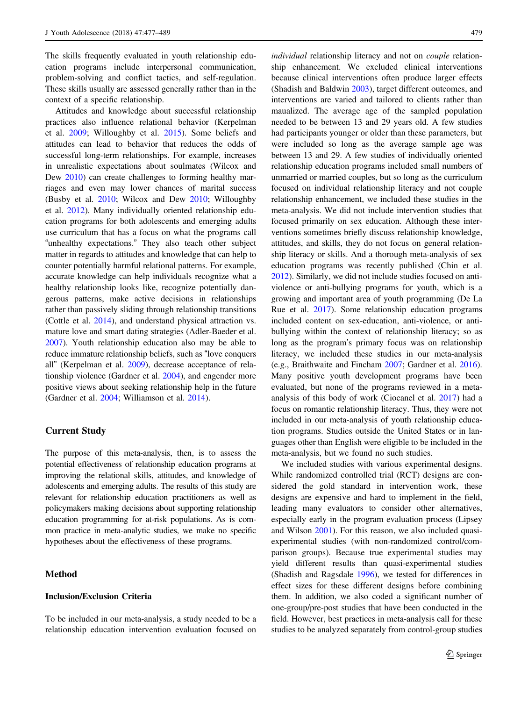The skills frequently evaluated in youth relationship education programs include interpersonal communication, problem-solving and conflict tactics, and self-regulation. These skills usually are assessed generally rather than in the context of a specific relationship.

Attitudes and knowledge about successful relationship practices also influence relational behavior (Kerpelman et al. [2009;](#page-11-0) Willoughby et al. [2015](#page-12-0)). Some beliefs and attitudes can lead to behavior that reduces the odds of successful long-term relationships. For example, increases in unrealistic expectations about soulmates (Wilcox and Dew [2010](#page-12-0)) can create challenges to forming healthy marriages and even may lower chances of marital success (Busby et al. [2010;](#page-10-0) Wilcox and Dew [2010](#page-12-0); Willoughby et al. [2012\)](#page-12-0). Many individually oriented relationship education programs for both adolescents and emerging adults use curriculum that has a focus on what the programs call "unhealthy expectations." They also teach other subject matter in regards to attitudes and knowledge that can help to counter potentially harmful relational patterns. For example, accurate knowledge can help individuals recognize what a healthy relationship looks like, recognize potentially dangerous patterns, make active decisions in relationships rather than passively sliding through relationship transitions (Cottle et al. [2014\)](#page-10-0), and understand physical attraction vs. mature love and smart dating strategies (Adler-Baeder et al. [2007\)](#page-9-0). Youth relationship education also may be able to reduce immature relationship beliefs, such as "love conquers all" (Kerpelman et al. [2009\)](#page-11-0), decrease acceptance of relationship violence (Gardner et al. [2004\)](#page-10-0), and engender more positive views about seeking relationship help in the future (Gardner et al. [2004](#page-10-0); Williamson et al. [2014\)](#page-12-0).

# Current Study

The purpose of this meta-analysis, then, is to assess the potential effectiveness of relationship education programs at improving the relational skills, attitudes, and knowledge of adolescents and emerging adults. The results of this study are relevant for relationship education practitioners as well as policymakers making decisions about supporting relationship education programming for at-risk populations. As is common practice in meta-analytic studies, we make no specific hypotheses about the effectiveness of these programs.

## Method

## Inclusion/Exclusion Criteria

To be included in our meta-analysis, a study needed to be a relationship education intervention evaluation focused on

individual relationship literacy and not on *couple* relationship enhancement. We excluded clinical interventions because clinical interventions often produce larger effects (Shadish and Baldwin [2003\)](#page-12-0), target different outcomes, and interventions are varied and tailored to clients rather than maualized. The average age of the sampled population needed to be between 13 and 29 years old. A few studies had participants younger or older than these parameters, but were included so long as the average sample age was between 13 and 29. A few studies of individually oriented relationship education programs included small numbers of unmarried or married couples, but so long as the curriculum focused on individual relationship literacy and not couple relationship enhancement, we included these studies in the meta-analysis. We did not include intervention studies that focused primarily on sex education. Although these interventions sometimes briefly discuss relationship knowledge, attitudes, and skills, they do not focus on general relationship literacy or skills. And a thorough meta-analysis of sex education programs was recently published (Chin et al. [2012](#page-10-0)). Similarly, we did not include studies focused on antiviolence or anti-bullying programs for youth, which is a growing and important area of youth programming (De La Rue et al. [2017\)](#page-10-0). Some relationship education programs included content on sex-education, anti-violence, or antibullying within the context of relationship literacy; so as long as the program's primary focus was on relationship literacy, we included these studies in our meta-analysis (e.g., Braithwaite and Fincham [2007;](#page-10-0) Gardner et al. [2016\)](#page-10-0). Many positive youth development programs have been evaluated, but none of the programs reviewed in a metaanalysis of this body of work (Ciocanel et al. [2017](#page-10-0)) had a focus on romantic relationship literacy. Thus, they were not included in our meta-analysis of youth relationship education programs. Studies outside the United States or in languages other than English were eligible to be included in the meta-analysis, but we found no such studies.

We included studies with various experimental designs. While randomized controlled trial (RCT) designs are considered the gold standard in intervention work, these designs are expensive and hard to implement in the field, leading many evaluators to consider other alternatives, especially early in the program evaluation process (Lipsey and Wilson [2001](#page-11-0)). For this reason, we also included quasiexperimental studies (with non-randomized control/comparison groups). Because true experimental studies may yield different results than quasi-experimental studies (Shadish and Ragsdale [1996\)](#page-12-0), we tested for differences in effect sizes for these different designs before combining them. In addition, we also coded a significant number of one-group/pre-post studies that have been conducted in the field. However, best practices in meta-analysis call for these studies to be analyzed separately from control-group studies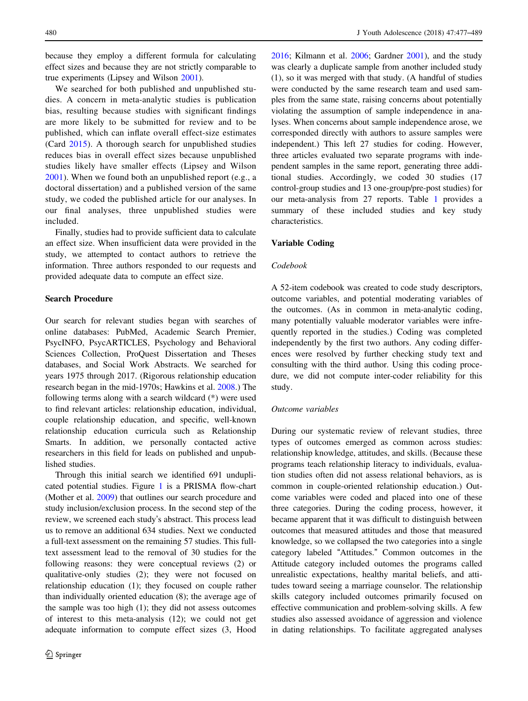because they employ a different formula for calculating effect sizes and because they are not strictly comparable to true experiments (Lipsey and Wilson [2001](#page-11-0)).

We searched for both published and unpublished studies. A concern in meta-analytic studies is publication bias, resulting because studies with significant findings are more likely to be submitted for review and to be published, which can inflate overall effect-size estimates (Card [2015\)](#page-10-0). A thorough search for unpublished studies reduces bias in overall effect sizes because unpublished studies likely have smaller effects (Lipsey and Wilson [2001\)](#page-11-0). When we found both an unpublished report (e.g., a doctoral dissertation) and a published version of the same study, we coded the published article for our analyses. In our final analyses, three unpublished studies were included.

Finally, studies had to provide sufficient data to calculate an effect size. When insufficient data were provided in the study, we attempted to contact authors to retrieve the information. Three authors responded to our requests and provided adequate data to compute an effect size.

### Search Procedure

Our search for relevant studies began with searches of online databases: PubMed, Academic Search Premier, PsycINFO, PsycARTICLES, Psychology and Behavioral Sciences Collection, ProQuest Dissertation and Theses databases, and Social Work Abstracts. We searched for years 1975 through 2017. (Rigorous relationship education research began in the mid-1970s; Hawkins et al. [2008](#page-11-0).) The following terms along with a search wildcard (\*) were used to find relevant articles: relationship education, individual, couple relationship education, and specific, well-known relationship education curricula such as Relationship Smarts. In addition, we personally contacted active researchers in this field for leads on published and unpublished studies.

Through this initial search we identified 691 unduplicated potential studies. Figure [1](#page-4-0) is a PRISMA flow-chart (Mother et al. [2009](#page-11-0)) that outlines our search procedure and study inclusion/exclusion process. In the second step of the review, we screened each study's abstract. This process lead us to remove an additional 634 studies. Next we conducted a full-text assessment on the remaining 57 studies. This fulltext assessment lead to the removal of 30 studies for the following reasons: they were conceptual reviews (2) or qualitative-only studies (2); they were not focused on relationship education (1); they focused on couple rather than individually oriented education (8); the average age of the sample was too high (1); they did not assess outcomes of interest to this meta-analysis (12); we could not get adequate information to compute effect sizes (3, Hood

[2016](#page-11-0); Kilmann et al. [2006;](#page-11-0) Gardner [2001\)](#page-10-0), and the study was clearly a duplicate sample from another included study (1), so it was merged with that study. (A handful of studies were conducted by the same research team and used samples from the same state, raising concerns about potentially violating the assumption of sample independence in analyses. When concerns about sample independence arose, we corresponded directly with authors to assure samples were independent.) This left 27 studies for coding. However, three articles evaluated two separate programs with independent samples in the same report, generating three additional studies. Accordingly, we coded 30 studies (17 control-group studies and 13 one-group/pre-post studies) for our meta-analysis from 27 reports. Table [1](#page-5-0) provides a summary of these included studies and key study characteristics.

## Variable Coding

#### Codebook

A 52-item codebook was created to code study descriptors, outcome variables, and potential moderating variables of the outcomes. (As in common in meta-analytic coding, many potentially valuable moderator variables were infrequently reported in the studies.) Coding was completed independently by the first two authors. Any coding differences were resolved by further checking study text and consulting with the third author. Using this coding procedure, we did not compute inter-coder reliability for this study.

#### Outcome variables

During our systematic review of relevant studies, three types of outcomes emerged as common across studies: relationship knowledge, attitudes, and skills. (Because these programs teach relationship literacy to individuals, evaluation studies often did not assess relational behaviors, as is common in couple-oriented relationship education.) Outcome variables were coded and placed into one of these three categories. During the coding process, however, it became apparent that it was difficult to distinguish between outcomes that measured attitudes and those that measured knowledge, so we collapsed the two categories into a single category labeled "Attitudes." Common outcomes in the Attitude category included outomes the programs called unrealistic expectations, healthy marital beliefs, and attitudes toward seeing a marriage counselor. The relationship skills category included outcomes primarily focused on effective communication and problem-solving skills. A few studies also assessed avoidance of aggression and violence in dating relationships. To facilitate aggregated analyses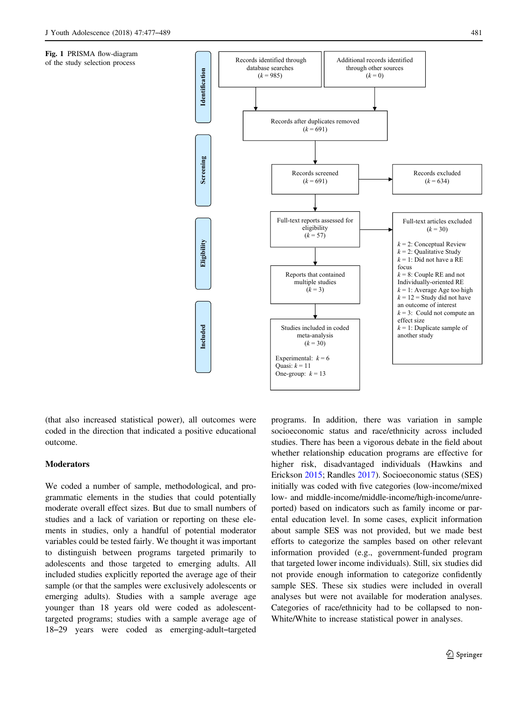<span id="page-4-0"></span>Fig. 1 PRISMA flow-diagram of the study selection process



(that also increased statistical power), all outcomes were coded in the direction that indicated a positive educational outcome.

## **Moderators**

We coded a number of sample, methodological, and programmatic elements in the studies that could potentially moderate overall effect sizes. But due to small numbers of studies and a lack of variation or reporting on these elements in studies, only a handful of potential moderator variables could be tested fairly. We thought it was important to distinguish between programs targeted primarily to adolescents and those targeted to emerging adults. All included studies explicitly reported the average age of their sample (or that the samples were exclusively adolescents or emerging adults). Studies with a sample average age younger than 18 years old were coded as adolescenttargeted programs; studies with a sample average age of 18–29 years were coded as emerging-adult–targeted

programs. In addition, there was variation in sample socioeconomic status and race/ethnicity across included studies. There has been a vigorous debate in the field about whether relationship education programs are effective for higher risk, disadvantaged individuals (Hawkins and Erickson [2015;](#page-11-0) Randles [2017\)](#page-11-0). Socioeconomic status (SES) initially was coded with five categories (low-income/mixed low- and middle-income/middle-income/high-income/unreported) based on indicators such as family income or parental education level. In some cases, explicit information about sample SES was not provided, but we made best efforts to categorize the samples based on other relevant information provided (e.g., government-funded program that targeted lower income individuals). Still, six studies did not provide enough information to categorize confidently sample SES. These six studies were included in overall analyses but were not available for moderation analyses. Categories of race/ethnicity had to be collapsed to non-White/White to increase statistical power in analyses.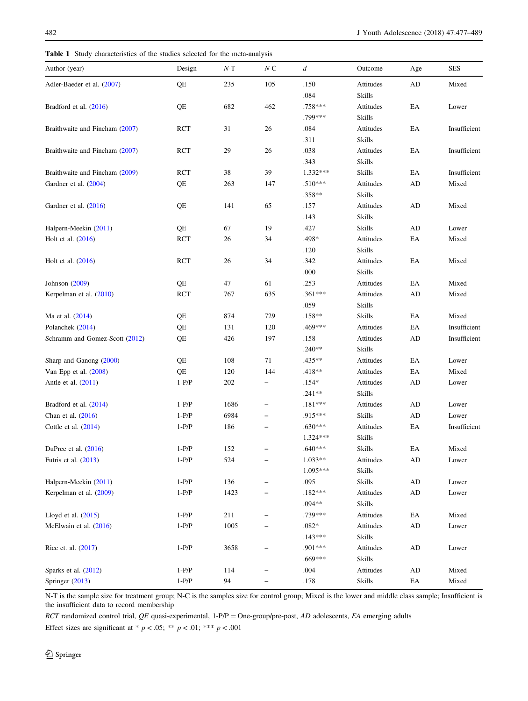<span id="page-5-0"></span>Table 1 Study characteristics of the studies selected for the meta-analysis

| Author (year)                  | Design     | $N-T$ | $N-C$ | $\boldsymbol{d}$ | Outcome       | Age                        | <b>SES</b>   |
|--------------------------------|------------|-------|-------|------------------|---------------|----------------------------|--------------|
| Adler-Baeder et al. (2007)     | QE         | 235   | 105   | .150             | Attitudes     | AD                         | Mixed        |
|                                |            |       |       | .084             | <b>Skills</b> |                            |              |
| Bradford et al. (2016)         | QE         | 682   | 462   | .758***          | Attitudes     | EA                         | Lower        |
|                                |            |       |       | .799***          | <b>Skills</b> |                            |              |
| Braithwaite and Fincham (2007) | RCT        | 31    | 26    | .084             | Attitudes     | EA                         | Insufficient |
|                                |            |       |       | .311             | Skills        |                            |              |
| Braithwaite and Fincham (2007) | <b>RCT</b> | 29    | 26    | .038             | Attitudes     | EA                         | Insufficient |
|                                |            |       |       | .343             | Skills        |                            |              |
| Braithwaite and Fincham (2009) | <b>RCT</b> | 38    | 39    | $1.332***$       | Skills        | EA                         | Insufficient |
| Gardner et al. (2004)          | QE         | 263   | 147   | $.510***$        | Attitudes     | AD                         | Mixed        |
|                                |            |       |       | $.358**$         | Skills        |                            |              |
| Gardner et al. (2016)          | QE         | 141   | 65    | .157             | Attitudes     | AD                         | Mixed        |
|                                |            |       |       | .143             | Skills        |                            |              |
| Halpern-Meekin (2011)          | QE         | 67    | 19    | .427             | Skills        | AD                         | Lower        |
| Holt et al. (2016)             | <b>RCT</b> | 26    | 34    | .498*            | Attitudes     | EA                         | Mixed        |
|                                |            |       |       | .120             | Skills        |                            |              |
| Holt et al. (2016)             | RCT        | 26    | 34    | .342             | Attitudes     | EA                         | Mixed        |
|                                |            |       |       | .000             | Skills        |                            |              |
| Johnson (2009)                 | QE         | 47    | 61    | .253             | Attitudes     | EA                         | Mixed        |
| Kerpelman et al. (2010)        | RCT        | 767   | 635   | .361***          | Attitudes     | AD                         | Mixed        |
|                                |            |       |       | .059             | Skills        |                            |              |
| Ma et al. (2014)               | QE         | 874   | 729   | $.158**$         | <b>Skills</b> | EA                         | Mixed        |
| Polanchek (2014)               | QE         | 131   | 120   | .469***          | Attitudes     | EA                         | Insufficient |
| Schramm and Gomez-Scott (2012) | QE         | 426   | 197   | .158             | Attitudes     | AD                         | Insufficient |
|                                |            |       |       | $.240**$         | Skills        |                            |              |
| Sharp and Ganong (2000)        | QE         | 108   | 71    | .435**           | Attitudes     | EA                         | Lower        |
| Van Epp et al. $(2008)$        | QE         | 120   | 144   | $.418**$         | Attitudes     | EA                         | Mixed        |
| Antle et al. (2011)            | $1-P/P$    | 202   |       | $.154*$          | Attitudes     | AD                         | Lower        |
|                                |            |       |       | $.241**$         | Skills        |                            |              |
| Bradford et al. (2014)         | $1-P/P$    | 1686  |       | $.181***$        | Attitudes     | AD                         | Lower        |
| Chan et al. (2016)             | $1-P/P$    | 6984  |       | .915***          | Skills        | AD                         | Lower        |
| Cottle et al. $(2014)$         | $1-P/P$    | 186   |       | .630***          | Attitudes     | EA                         | Insufficient |
|                                |            |       |       | $1.324***$       | Skills        |                            |              |
| DuPree et al. $(2016)$         | $1-P/P$    | 152   |       | $.640***$        | Skills        | EA                         | Mixed        |
| Futris et al. (2013)           | $1-P/P$    | 524   |       | $1.033**$        | Attitudes     | $\mathbf{A}\mathbf{D}$     | Lower        |
|                                |            |       |       | 1.095***         | Skills        |                            |              |
| Halpern-Meekin (2011)          | $1-P/P$    | 136   |       | .095             | Skills        | $\rm{AD}$                  | Lower        |
| Kerpelman et al. (2009)        | $1-P/P$    | 1423  |       | $.182***$        | Attitudes     | AD                         | Lower        |
|                                |            |       |       | $.094**$         | Skills        |                            |              |
| Lloyd et al. (2015)            | $1-P/P$    | 211   |       | .739***          | Attitudes     | $\mathop{\rm EA}\nolimits$ | Mixed        |
| McElwain et al. (2016)         | $1-P/P$    | 1005  |       | $.082*$          | Attitudes     | AD                         | Lower        |
|                                |            |       |       | $.143***$        | Skills        |                            |              |
| Rice et. al. (2017)            | $1-P/P$    | 3658  |       | .901 ***         | Attitudes     | AD                         | Lower        |
|                                |            |       |       | $.669***$        | Skills        |                            |              |
| Sparks et al. (2012)           | $1-P/P$    | 114   |       | .004             | Attitudes     | AD                         | Mixed        |
| Springer (2013)                | $1-P/P$    | 94    | -     | .178             | Skills        | $\mathop{\rm EA}\nolimits$ | Mixed        |

N-T is the sample size for treatment group; N-C is the samples size for control group; Mixed is the lower and middle class sample; Insufficient is the insufficient data to record membership

RCT randomized control trial, QE quasi-experimental, 1-P/P = One-group/pre-post, AD adolescents, EA emerging adults Effect sizes are significant at \*  $p < .05$ ; \*\*  $p < .01$ ; \*\*\*  $p < .001$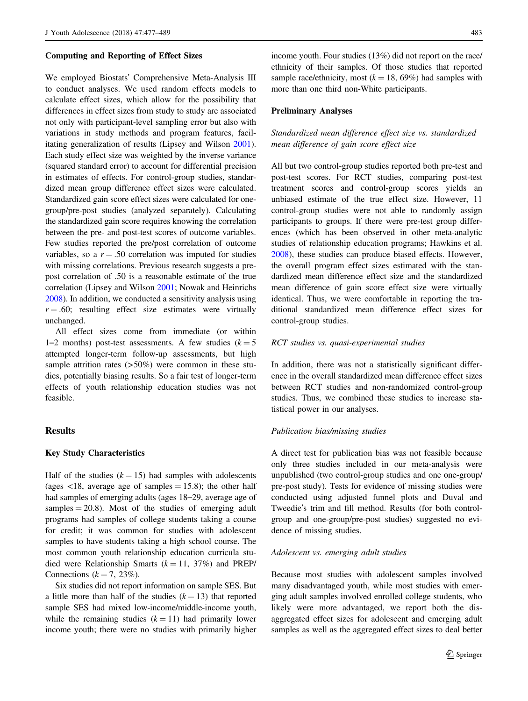#### Computing and Reporting of Effect Sizes

We employed Biostats' Comprehensive Meta-Analysis III to conduct analyses. We used random effects models to calculate effect sizes, which allow for the possibility that differences in effect sizes from study to study are associated not only with participant-level sampling error but also with variations in study methods and program features, facilitating generalization of results (Lipsey and Wilson [2001](#page-11-0)). Each study effect size was weighted by the inverse variance (squared standard error) to account for differential precision in estimates of effects. For control-group studies, standardized mean group difference effect sizes were calculated. Standardized gain score effect sizes were calculated for onegroup/pre-post studies (analyzed separately). Calculating the standardized gain score requires knowing the correlation between the pre- and post-test scores of outcome variables. Few studies reported the pre/post correlation of outcome variables, so a  $r = .50$  correlation was imputed for studies with missing correlations. Previous research suggests a prepost correlation of .50 is a reasonable estimate of the true correlation (Lipsey and Wilson [2001](#page-11-0); Nowak and Heinrichs [2008\)](#page-11-0). In addition, we conducted a sensitivity analysis using  $r = .60$ ; resulting effect size estimates were virtually unchanged.

All effect sizes come from immediate (or within 1–2 months) post-test assessments. A few studies  $(k = 5$ attempted longer-term follow-up assessments, but high sample attrition rates (>50%) were common in these studies, potentially biasing results. So a fair test of longer-term effects of youth relationship education studies was not feasible.

# **Results**

## Key Study Characteristics

Half of the studies  $(k = 15)$  had samples with adolescents (ages  $\langle 18$ , average age of samples = 15.8); the other half had samples of emerging adults (ages 18–29, average age of samples  $= 20.8$ ). Most of the studies of emerging adult programs had samples of college students taking a course for credit; it was common for studies with adolescent samples to have students taking a high school course. The most common youth relationship education curricula studied were Relationship Smarts  $(k = 11, 37%)$  and PREP/ Connections ( $k = 7, 23\%$ ).

Six studies did not report information on sample SES. But a little more than half of the studies  $(k = 13)$  that reported sample SES had mixed low-income/middle-income youth, while the remaining studies  $(k = 11)$  had primarily lower income youth; there were no studies with primarily higher income youth. Four studies (13%) did not report on the race/ ethnicity of their samples. Of those studies that reported sample race/ethnicity, most  $(k = 18, 69\%)$  had samples with more than one third non-White participants.

## Preliminary Analyses

# Standardized mean difference effect size vs. standardized mean difference of gain score effect size

All but two control-group studies reported both pre-test and post-test scores. For RCT studies, comparing post-test treatment scores and control-group scores yields an unbiased estimate of the true effect size. However, 11 control-group studies were not able to randomly assign participants to groups. If there were pre-test group differences (which has been observed in other meta-analytic studies of relationship education programs; Hawkins et al. [2008](#page-11-0)), these studies can produce biased effects. However, the overall program effect sizes estimated with the standardized mean difference effect size and the standardized mean difference of gain score effect size were virtually identical. Thus, we were comfortable in reporting the traditional standardized mean difference effect sizes for control-group studies.

## RCT studies vs. quasi-experimental studies

In addition, there was not a statistically significant difference in the overall standardized mean difference effect sizes between RCT studies and non-randomized control-group studies. Thus, we combined these studies to increase statistical power in our analyses.

#### Publication bias/missing studies

A direct test for publication bias was not feasible because only three studies included in our meta-analysis were unpublished (two control-group studies and one one-group/ pre-post study). Tests for evidence of missing studies were conducted using adjusted funnel plots and Duval and Tweedie's trim and fill method. Results (for both controlgroup and one-group/pre-post studies) suggested no evidence of missing studies.

#### Adolescent vs. emerging adult studies

Because most studies with adolescent samples involved many disadvantaged youth, while most studies with emerging adult samples involved enrolled college students, who likely were more advantaged, we report both the disaggregated effect sizes for adolescent and emerging adult samples as well as the aggregated effect sizes to deal better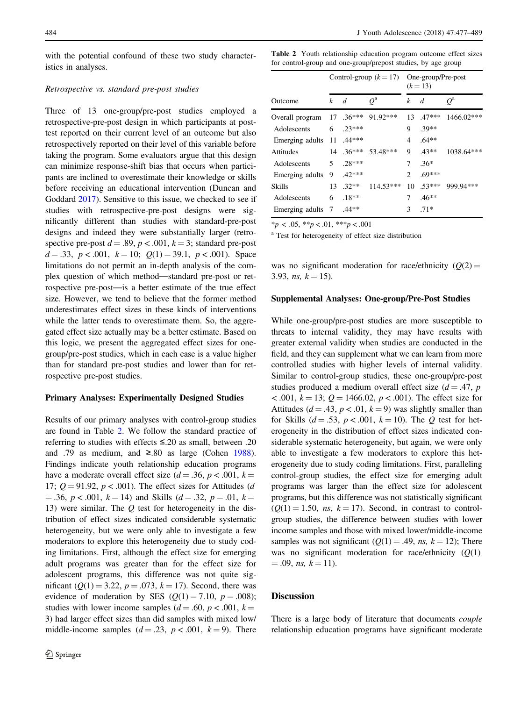with the potential confound of these two study characteristics in analyses.

## Retrospective vs. standard pre-post studies

Three of 13 one-group/pre-post studies employed a retrospective-pre-post design in which participants at posttest reported on their current level of an outcome but also retrospectively reported on their level of this variable before taking the program. Some evaluators argue that this design can minimize response-shift bias that occurs when participants are inclined to overestimate their knowledge or skills before receiving an educational intervention (Duncan and Goddard [2017](#page-10-0)). Sensitive to this issue, we checked to see if studies with retrospective-pre-post designs were significantly different than studies with standard-pre-post designs and indeed they were substantially larger (retrospective pre-post  $d = .89$ ,  $p < .001$ ,  $k = 3$ ; standard pre-post  $d = .33, p < .001, k = 10; Q(1) = 39.1, p < .001$ . Space limitations do not permit an in-depth analysis of the complex question of which method—standard pre-post or retrospective pre-post—is a better estimate of the true effect size. However, we tend to believe that the former method underestimates effect sizes in these kinds of interventions while the latter tends to overestimate them. So, the aggregated effect size actually may be a better estimate. Based on this logic, we present the aggregated effect sizes for onegroup/pre-post studies, which in each case is a value higher than for standard pre-post studies and lower than for retrospective pre-post studies.

## Primary Analyses: Experimentally Designed Studies

Results of our primary analyses with control-group studies are found in Table 2. We follow the standard practice of referring to studies with effects ≤.20 as small, between .20 and .79 as medium, and  $\geq 0.80$  as large (Cohen [1988](#page-10-0)). Findings indicate youth relationship education programs have a moderate overall effect size  $(d = .36, p < .001, k =$ 17;  $Q = 91.92$ ,  $p < .001$ ). The effect sizes for Attitudes (d  $= .36, p < .001, k = 14$  and Skills ( $d = .32, p = .01, k =$ 13) were similar. The  $Q$  test for heterogeneity in the distribution of effect sizes indicated considerable systematic heterogeneity, but we were only able to investigate a few moderators to explore this heterogeneity due to study coding limitations. First, although the effect size for emerging adult programs was greater than for the effect size for adolescent programs, this difference was not quite significant ( $Q(1) = 3.22$ ,  $p = .073$ ,  $k = 17$ ). Second, there was evidence of moderation by SES  $(Q(1) = 7.10, p = .008)$ ; studies with lower income samples ( $d = .60$ ,  $p < .001$ ,  $k =$ 3) had larger effect sizes than did samples with mixed low/ middle-income samples  $(d = .23, p < .001, k = 9)$ . There Table 2 Youth relationship education program outcome effect sizes for control-group and one-group/prepost studies, by age group

|                                    | Control-group $(k = 17)$ One-group/Pre-post |                  |                                 | $(k = 13)$     |                  |              |  |
|------------------------------------|---------------------------------------------|------------------|---------------------------------|----------------|------------------|--------------|--|
| Outcome                            | $\mathbf{k}$                                | d                | $Q^{\rm a}$                     | k              | d                | $Q^{\rm a}$  |  |
| Overall program 17 .36*** 91.92*** |                                             |                  |                                 |                | $13 \quad 47***$ | $1466.02***$ |  |
| Adolescents                        |                                             | $6 \quad .23***$ |                                 | 9              | $.39**$          |              |  |
| Emerging adults                    |                                             | $11.44***$       |                                 | 4              | $.64**$          |              |  |
| <b>Attitudes</b>                   |                                             |                  | $14 \quad 36*** \quad 53.48***$ | 9              | $.43**$          | $1038.64***$ |  |
| Adolescents                        | 5                                           | $28***$          |                                 | 7              | $.36*$           |              |  |
| Emerging adults                    | 9                                           | $.42***$         |                                 | $\mathfrak{D}$ | $.69***$         |              |  |
| <b>Skills</b>                      | 13                                          | $.32**$          | $114.53***$                     | 10             | $.53***$         | 999.94***    |  |
| Adolescents                        | 6                                           | $.18**$          |                                 | 7              | $.46**$          |              |  |
| Emerging adults                    | 7                                           | $.44**$          |                                 | 3              | $.71*$           |              |  |

 $*_{p}$  < .05,  $*_{p}$  < .01,  $*_{p}$  < .001

<sup>a</sup> Test for heterogeneity of effect size distribution

was no significant moderation for race/ethnicity  $(Q(2) =$ 3.93, *ns*,  $k = 15$ ).

#### Supplemental Analyses: One-group/Pre-Post Studies

While one-group/pre-post studies are more susceptible to threats to internal validity, they may have results with greater external validity when studies are conducted in the field, and they can supplement what we can learn from more controlled studies with higher levels of internal validity. Similar to control-group studies, these one-group/pre-post studies produced a medium overall effect size  $(d = .47, p)$  $\epsilon$ .001,  $k = 13$ ;  $Q = 1466.02$ ,  $p \epsilon$ .001). The effect size for Attitudes ( $d = .43$ ,  $p < .01$ ,  $k = 9$ ) was slightly smaller than for Skills ( $d = .53$ ,  $p < .001$ ,  $k = 10$ ). The Q test for heterogeneity in the distribution of effect sizes indicated considerable systematic heterogeneity, but again, we were only able to investigate a few moderators to explore this heterogeneity due to study coding limitations. First, paralleling control-group studies, the effect size for emerging adult programs was larger than the effect size for adolescent programs, but this difference was not statistically significant  $(Q(1) = 1.50, ns, k = 17)$ . Second, in contrast to controlgroup studies, the difference between studies with lower income samples and those with mixed lower/middle-income samples was not significant  $(Q(1) = .49, ns, k = 12)$ ; There was no significant moderation for race/ethnicity  $(Q(1))$  $= .09$ , ns,  $k = 11$ .

# **Discussion**

There is a large body of literature that documents couple relationship education programs have significant moderate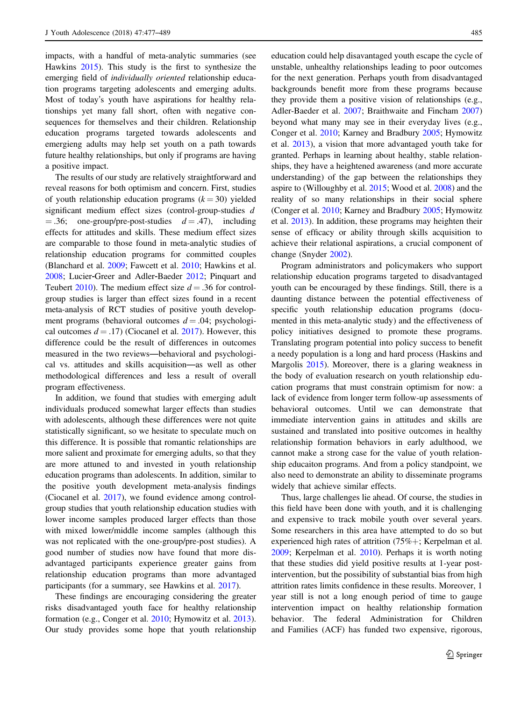impacts, with a handful of meta-analytic summaries (see Hawkins [2015](#page-10-0)). This study is the first to synthesize the emerging field of individually oriented relationship education programs targeting adolescents and emerging adults. Most of today's youth have aspirations for healthy relationships yet many fall short, often with negative consequences for themselves and their children. Relationship education programs targeted towards adolescents and emergieng adults may help set youth on a path towards future healthy relationships, but only if programs are having a positive impact.

The results of our study are relatively straightforward and reveal reasons for both optimism and concern. First, studies of youth relationship education programs  $(k = 30)$  yielded significant medium effect sizes (control-group-studies d  $= .36$ ; one-group/pre-post-studies  $d = .47$ ), including effects for attitudes and skills. These medium effect sizes are comparable to those found in meta-analytic studies of relationship education programs for committed couples (Blanchard et al. [2009](#page-10-0); Fawcett et al. [2010;](#page-10-0) Hawkins et al. [2008;](#page-11-0) Lucier‐Greer and Adler‐Baeder [2012](#page-11-0); Pinquart and Teubert [2010\)](#page-11-0). The medium effect size  $d = .36$  for controlgroup studies is larger than effect sizes found in a recent meta-analysis of RCT studies of positive youth development programs (behavioral outcomes  $d = .04$ ; psychological outcomes  $d = .17$ ) (Ciocanel et al. [2017\)](#page-10-0). However, this difference could be the result of differences in outcomes measured in the two reviews—behavioral and psychological vs. attitudes and skills acquisition—as well as other methodological differences and less a result of overall program effectiveness.

In addition, we found that studies with emerging adult individuals produced somewhat larger effects than studies with adolescents, although these differences were not quite statistically significant, so we hesitate to speculate much on this difference. It is possible that romantic relationships are more salient and proximate for emerging adults, so that they are more attuned to and invested in youth relationship education programs than adolescents. In addition, similar to the positive youth development meta-analysis findings (Ciocanel et al. [2017\)](#page-10-0), we found evidence among controlgroup studies that youth relationship education studies with lower income samples produced larger effects than those with mixed lower/middle income samples (although this was not replicated with the one-group/pre-post studies). A good number of studies now have found that more disadvantaged participants experience greater gains from relationship education programs than more advantaged participants (for a summary, see Hawkins et al. [2017](#page-11-0)).

These findings are encouraging considering the greater risks disadvantaged youth face for healthy relationship formation (e.g., Conger et al. [2010;](#page-10-0) Hymowitz et al. [2013](#page-11-0)). Our study provides some hope that youth relationship education could help disavantaged youth escape the cycle of unstable, unhealthy relationships leading to poor outcomes for the next generation. Perhaps youth from disadvantaged backgrounds benefit more from these programs because they provide them a positive vision of relationships (e.g., Adler-Baeder et al. [2007;](#page-9-0) Braithwaite and Fincham [2007](#page-10-0)) beyond what many may see in their everyday lives (e.g., Conger et al. [2010](#page-10-0); Karney and Bradbury [2005;](#page-11-0) Hymowitz et al. [2013](#page-11-0)), a vision that more advantaged youth take for granted. Perhaps in learning about healthy, stable relationships, they have a heightened awareness (and more accurate understanding) of the gap between the relationships they aspire to (Willoughby et al. [2015;](#page-12-0) Wood et al. [2008\)](#page-12-0) and the reality of so many relationships in their social sphere (Conger et al. [2010](#page-10-0); Karney and Bradbury [2005](#page-11-0); Hymowitz et al. [2013](#page-11-0)). In addition, these programs may heighten their sense of efficacy or ability through skills acquisition to achieve their relational aspirations, a crucial component of change (Snyder [2002](#page-12-0)).

Program administrators and policymakers who support relationship education programs targeted to disadvantaged youth can be encouraged by these findings. Still, there is a daunting distance between the potential effectiveness of specific youth relationship education programs (documented in this meta-analytic study) and the effectiveness of policy initiatives designed to promote these programs. Translating program potential into policy success to benefit a needy population is a long and hard process (Haskins and Margolis [2015\)](#page-10-0). Moreover, there is a glaring weakness in the body of evaluation research on youth relationship education programs that must constrain optimism for now: a lack of evidence from longer term follow-up assessments of behavioral outcomes. Until we can demonstrate that immediate intervention gains in attitudes and skills are sustained and translated into positive outcomes in healthy relationship formation behaviors in early adulthood, we cannot make a strong case for the value of youth relationship educaiton programs. And from a policy standpoint, we also need to demonstrate an ability to disseminate programs widely that achieve similar effects.

Thus, large challenges lie ahead. Of course, the studies in this field have been done with youth, and it is challenging and expensive to track mobile youth over several years. Some researchers in this area have attempted to do so but experienced high rates of attrition (75%+; Kerpelman et al. [2009](#page-11-0); Kerpelman et al. [2010\)](#page-11-0). Perhaps it is worth noting that these studies did yield positive results at 1-year postintervention, but the possibility of substantial bias from high attrition rates limits confidence in these results. Moreover, 1 year still is not a long enough period of time to gauge intervention impact on healthy relationship formation behavior. The federal Administration for Children and Families (ACF) has funded two expensive, rigorous,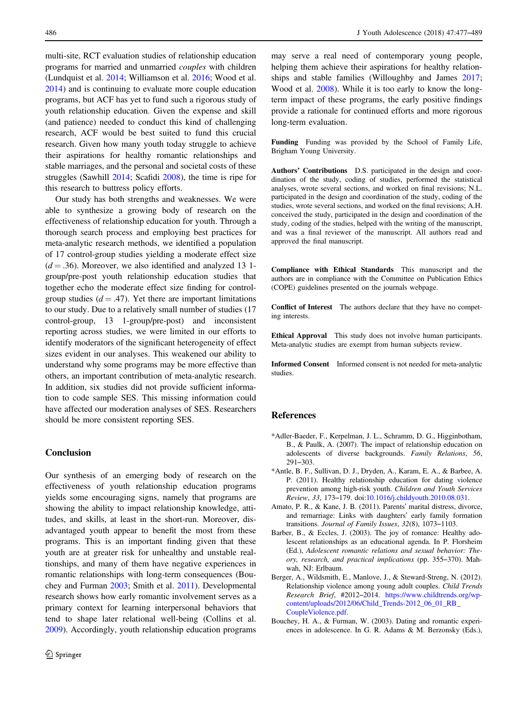<span id="page-9-0"></span>multi-site, RCT evaluation studies of relationship education programs for married and unmarried couples with children (Lundquist et al. [2014;](#page-11-0) Williamson et al. [2016;](#page-12-0) Wood et al. [2014\)](#page-12-0) and is continuing to evaluate more couple education programs, but ACF has yet to fund such a rigorous study of youth relationship education. Given the expense and skill (and patience) needed to conduct this kind of challenging research, ACF would be best suited to fund this crucial research. Given how many youth today struggle to achieve their aspirations for healthy romantic relationships and stable marriages, and the personal and societal costs of these struggles (Sawhill [2014;](#page-11-0) Scafidi [2008\)](#page-12-0), the time is ripe for this research to buttress policy efforts.

Our study has both strengths and weaknesses. We were able to synthesize a growing body of research on the effectiveness of relationship education for youth. Through a thorough search process and employing best practices for meta-analytic research methods, we identified a population of 17 control-group studies yielding a moderate effect size  $(d = .36)$ . Moreover, we also identified and analyzed 13 1group/pre-post youth relationship education studies that together echo the moderate effect size finding for controlgroup studies  $(d = .47)$ . Yet there are important limitations to our study. Due to a relatively small number of studies (17 control-group, 13 1-group/pre-post) and inconsistent reporting across studies, we were limited in our efforts to identify moderators of the significant heterogeneity of effect sizes evident in our analyses. This weakened our ability to understand why some programs may be more effective than others, an important contribution of meta-analytic research. In addition, six studies did not provide sufficient information to code sample SES. This missing information could have affected our moderation analyses of SES. Researchers should be more consistent reporting SES.

## Conclusion

Our synthesis of an emerging body of research on the effectiveness of youth relationship education programs yields some encouraging signs, namely that programs are showing the ability to impact relationship knowledge, attitudes, and skills, at least in the short-run. Moreover, disadvantaged youth appear to benefit the most from these programs. This is an important finding given that these youth are at greater risk for unhealthy and unstable realtionships, and many of them have negative experiences in romantic relationships with long-term consequences (Bouchey and Furman 2003; Smith et al. [2011\)](#page-12-0). Developmental research shows how early romantic involvement serves as a primary context for learning interpersonal behaviors that tend to shape later relational well-being (Collins et al. [2009\)](#page-10-0). Accordingly, youth relationship education programs

may serve a real need of contemporary young people, helping them achieve their aspirations for healthy relationships and stable families (Willoughby and James [2017;](#page-12-0) Wood et al. [2008](#page-12-0)). While it is too early to know the longterm impact of these programs, the early positive findings provide a rationale for continued efforts and more rigorous long-term evaluation.

Funding Funding was provided by the School of Family Life, Brigham Young University.

Authors' Contributions D.S. participated in the design and coordination of the study, coding of studies, performed the statistical analyses, wrote several sections, and worked on final revisions; N.L. participated in the design and coordination of the study, coding of the studies, wrote several sections, and worked on the final revisions; A.H. conceived the study, participated in the design and coordination of the study, coding of the studies, helped with the writing of the manuscript, and was a final reviewer of the manuscript. All authors read and approved the final manuscript.

Compliance with Ethical Standards This manuscript and the authors are in compliance with the Committee on Publication Ethics (COPE) guidelines presented on the journals webpage.

Conflict of Interest The authors declare that they have no competing interests.

Ethical Approval This study does not involve human participants. Meta-analytic studies are exempt from human subjects review.

Informed Consent Informed consent is not needed for meta-analytic studies.

## References

- \*Adler-Baeder, F., Kerpelman, J. L., Schramm, D. G., Higginbotham, B., & Paulk, A. (2007). The impact of relationship education on adolescents of diverse backgrounds. Family Relations, 56, 291–303.
- \*Antle, B. F., Sullivan, D. J., Dryden, A., Karam, E. A., & Barbee, A. P. (2011). Healthy relationship education for dating violence prevention among high-risk youth. Children and Youth Services Review, 33, 173–179. doi[:10.1016/j.childyouth.2010.08.031](http://dx.doi.org/10.1016/j.childyouth.2010.08.031).
- Amato, P. R., & Kane, J. B. (2011). Parents' marital distress, divorce, and remarriage: Links with daughters' early family formation transitions. Journal of Family Issues, 32(8), 1073–1103.
- Barber, B., & Eccles, J. (2003). The joy of romance: Healthy adolescent relationships as an educational agenda. In P. Florsheim (Ed.), Adolescent romantic relations and sexual behavior: Theory, research, and practical implications (pp. 355–370). Mahwah, NJ: Erlbaum.
- Berger, A., Wildsmith, E., Manlove, J., & Steward-Streng, N. (2012). Relationship violence among young adult couples. Child Trends Research Brief, #2012–2014. [https://www.childtrends.org/wp](https://www.childtrends.org/wp-content/uploads/2012/06/Child_Trends-2012_06_01_RB_CoupleViolence.pdf)[content/uploads/2012/06/Child\\_Trends-2012\\_06\\_01\\_RB\\_](https://www.childtrends.org/wp-content/uploads/2012/06/Child_Trends-2012_06_01_RB_CoupleViolence.pdf) [CoupleViolence.pdf](https://www.childtrends.org/wp-content/uploads/2012/06/Child_Trends-2012_06_01_RB_CoupleViolence.pdf).
- Bouchey, H. A., & Furman, W. (2003). Dating and romantic experiences in adolescence. In G. R. Adams & M. Berzonsky (Eds.),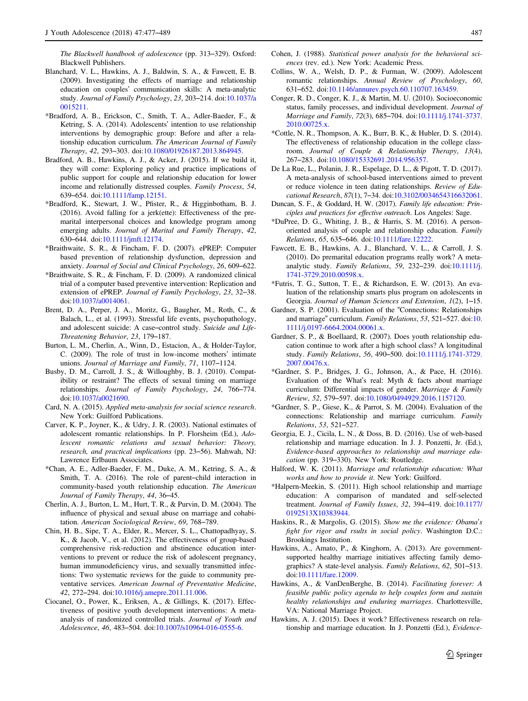<span id="page-10-0"></span>The Blackwell handbook of adolescence (pp. 313–329). Oxford: Blackwell Publishers.

- Blanchard, V. L., Hawkins, A. J., Baldwin, S. A., & Fawcett, E. B. (2009). Investigating the effects of marriage and relationship education on couples' communication skills: A meta-analytic study. Journal of Family Psychology, 23, 203–214. doi:[10.1037/a](http://dx.doi.org/10.1037/a0015211) [0015211.](http://dx.doi.org/10.1037/a0015211)
- \*Bradford, A. B., Erickson, C., Smith, T. A., Adler-Baeder, F., & Ketring, S. A. (2014). Adolescents' intention to use relationship interventions by demographic group: Before and after a relationship education curriculum. The American Journal of Family Therapy, 42, 293–303. doi[:10.1080/01926187.2013.864945](http://dx.doi.org/10.1080/01926187.2013.864945).
- Bradford, A. B., Hawkins, A. J., & Acker, J. (2015). If we build it, they will come: Exploring policy and practice implications of public support for couple and relationship education for lower income and relationally distressed couples. Family Process, 54, 639–654. doi:[10.1111/famp.12151](http://dx.doi.org/10.1111/famp.12151).
- \*Bradford, K., Stewart, J. W., Pfister, R., & Higginbotham, B. J. (2016). Avoid falling for a jerk(ette): Effectiveness of the premarital interpersonal choices and knowledge program among emerging adults. Journal of Marital and Family Therapy, 42, 630–644. doi:[10.1111/jmft.12174.](http://dx.doi.org/10.1111/jmft.12174)
- \*Braithwaite, S. R., & Fincham, F. D. (2007). ePREP: Computer based prevention of relationship dysfunction, depression and anxiety. Journal of Social and Clinical Psychology, 26, 609–622.
- \*Braithwaite, S. R., & Fincham, F. D. (2009). A randomized clinical trial of a computer based preventive intervention: Replication and extension of ePREP. Journal of Family Psychology, 23, 32–38. doi[:10.1037/a0014061](http://dx.doi.org/10.1037/a0014061).
- Brent, D. A., Perper, J. A., Moritz, G., Baugher, M., Roth, C., & Balach, L., et al. (1993). Stressful life events, psychopathology, and adolescent suicide: A case–control study. Suicide and Life-Threatening Behavior, 23, 179–187.
- Burton, L. M., Cherlin, A., Winn, D., Estacion, A., & Holder-Taylor, C. (2009). The role of trust in low-income mothers' intimate unions. Journal of Marriage and Family, 71, 1107–1124.
- Busby, D. M., Carroll, J. S., & Willoughby, B. J. (2010). Compatibility or restraint? The effects of sexual timing on marriage relationships. Journal of Family Psychology, 24, 766–774. doi[:10.1037/a0021690](http://dx.doi.org/10.1037/a0021690).
- Card, N. A. (2015). Applied meta-analysis for social science research. New York: Guilford Publications.
- Carver, K. P., Joyner, K., & Udry, J. R. (2003). National estimates of adolescent romantic relationships. In P. Florsheim (Ed.), Adolescent romantic relations and sexual behavior: Theory, research, and practical implications (pp. 23–56). Mahwah, NJ: Lawrence Erlbaum Associates.
- \*Chan, A. E., Adler-Baeder, F. M., Duke, A. M., Ketring, S. A., & Smith, T. A. (2016). The role of parent–child interaction in community-based youth relationship education. The American Journal of Family Therapy, 44, 36–45.
- Cherlin, A. J., Burton, L. M., Hurt, T. R., & Purvin, D. M. (2004). The influence of physical and sexual abuse on marriage and cohabitation. American Sociological Review, 69, 768–789.
- Chin, H. B., Sipe, T. A., Elder, R., Mercer, S. L., Chattopadhyay, S. K., & Jacob, V., et al. (2012). The effectiveness of group-based comprehensive risk-reduction and abstinence education interventions to prevent or reduce the risk of adolescent pregnancy, human immunodeficiency virus, and sexually transmitted infections: Two systematic reviews for the guide to community preventative services. American Journal of Preventative Medicine, 42, 272–294. doi[:10.1016/j.amepre.2011.11.006](http://dx.doi.org/10.1016/j.amepre.2011.11.006).
- Ciocanel, O., Power, K., Eriksen, A., & Gillings, K. (2017). Effectiveness of positive youth development interventions: A metaanalysis of randomized controlled trials. Journal of Youth and Adolescence, 46, 483–504. doi:[10.1007/s10964-016-0555-6](http://dx.doi.org/10.1007/s10964-016-0555-6).
- Cohen, J. (1988). Statistical power analysis for the behavioral sciences (rev. ed.). New York: Academic Press.
- Collins, W. A., Welsh, D. P., & Furman, W. (2009). Adolescent romantic relationships. Annual Review of Psychology, 60, 631–652. doi:[10.1146/annurev.psych.60.110707.163459](http://dx.doi.org/10.1146/annurev.psych.60.110707.163459).
- Conger, R. D., Conger, K. J., & Martin, M. U. (2010). Socioeconomic status, family processes, and individual development. Journal of Marriage and Family, 72(3), 685–704. doi[:10.1111/j.1741-3737.](http://dx.doi.org/10.1111/j.1741-3737.2010.00725.x) 2010.00725 x
- \*Cottle, N. R., Thompson, A. K., Burr, B. K., & Hubler, D. S. (2014). The effectiveness of relationship education in the college classroom. Journal of Couple & Relationship Therapy, 13(4), 267–283. doi:[10.1080/15332691.2014.956357](http://dx.doi.org/10.1080/15332691.2014.956357).
- De La Rue, L., Polanin, J. R., Espelage, D. L., & Pigott, T. D. (2017). A meta-analysis of school-based interventions aimed to prevent or reduce violence in teen dating relationships. Review of Educational Research, 87(1), 7–34. doi:[10.3102/0034654316632061](http://dx.doi.org/10.3102/0034654316632061).
- Duncan, S. F., & Goddard, H. W. (2017). Family life education: Principles and practices for effective outreach. Los Angeles: Sage.
- \*DuPree, D. G., Whiting, J. B., & Harris, S. M. (2016). A personoriented analysis of couple and relationship education. Family Relations, 65, 635–646. doi:[10.1111/fare.12222.](http://dx.doi.org/10.1111/fare.12222)
- Fawcett, E. B., Hawkins, A. J., Blanchard, V. L., & Carroll, J. S. (2010). Do premarital education programs really work? A metaanalytic study. Family Relations, 59, 232–239. doi[:10.1111/j.](http://dx.doi.org/10.1111/j.1741-3729.2010.00598.x) [1741-3729.2010.00598.x](http://dx.doi.org/10.1111/j.1741-3729.2010.00598.x).
- \*Futris, T. G., Sutton, T. E., & Richardson, E. W. (2013). An evaluation of the relationship smarts plus program on adolescents in Georgia. Journal of Human Sciences and Extension, 1(2), 1–15.
- Gardner, S. P. (2001). Evaluation of the "Connections: Relationships and marriage" curriculum. Family Relations, 53, 521–527. doi:[10.](http://dx.doi.org/10.1111/j.0197-6664.2004.00061.x) [1111/j.0197-6664.2004.00061.x](http://dx.doi.org/10.1111/j.0197-6664.2004.00061.x).
- Gardner, S. P., & Boellaard, R. (2007). Does youth relationship education continue to work after a high school class? A longitudinal study. Family Relations, 56, 490–500. doi[:10.1111/j.1741-3729.](http://dx.doi.org/10.1111/j.1741-3729.2007.00476.x) [2007.00476.x.](http://dx.doi.org/10.1111/j.1741-3729.2007.00476.x)
- \*Gardner, S. P., Bridges, J. G., Johnson, A., & Pace, H. (2016). Evaluation of the What's real: Myth & facts about marriage curriculum: Differential impacts of gender. Marriage & Family Review, 52, 579–597. doi[:10.1080/0494929.2016.1157120.](http://dx.doi.org/10.1080/0494929.2016.1157120)
- \*Gardner, S. P., Giese, K., & Parrot, S. M. (2004). Evaluation of the connections: Relationship and marriage curriculum. Family Relations, 53, 521–527.
- Georgia, E. J., Cicila, L. N., & Doss, B. D. (2016). Use of web-based relationship and marriage education. In J. J. Ponzetti, Jr. (Ed.), Evidence-based approaches to relationship and marriage education (pp. 319–330). New York: Routledge.
- Halford, W. K. (2011). Marriage and relationship education: What works and how to provide it. New York: Guilford.
- \*Halpern-Meekin, S. (2011). High school relationship and marriage education: A comparison of mandated and self-selected treatment. Journal of Family Issues, 32, 394–419. doi[:10.1177/](http://dx.doi.org/10.1177/0192513X10383944) [0192513X10383944.](http://dx.doi.org/10.1177/0192513X10383944)
- Haskins, R., & Margolis, G. (2015). Show me the evidence: Obama's fight for rigor and rsults in social policy. Washington D.C.: Brookings Institution.
- Hawkins, A., Amato, P., & Kinghorn, A. (2013). Are governmentsupported healthy marriage initiatives affecting family demographics? A state-level analysis. Family Relations, 62, 501–513. doi[:10.1111/fare.12009](http://dx.doi.org/10.1111/fare.12009).
- Hawkins, A., & VanDenBerghe, B. (2014). Facilitating forever: A feasible public policy agenda to help couples form and sustain healthy relationships and enduring marriages. Charlottesville, VA: National Marriage Project.
- Hawkins, A. J. (2015). Does it work? Effectiveness research on relationship and marriage education. In J. Ponzetti (Ed.), Evidence-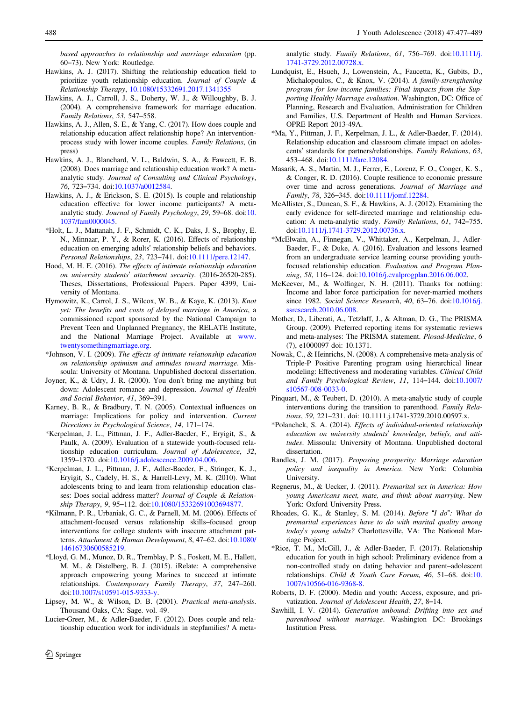<span id="page-11-0"></span>based approaches to relationship and marriage education (pp. 60–73). New York: Routledge.

- Hawkins, A. J. (2017). Shifting the relationship education field to prioritize youth relationship education. Journal of Couple & Relationship Therapy, [10.1080/15332691.2017.1341355](http://dx.doi.org/10.1080/15332691.2017.1341355)
- Hawkins, A. J., Carroll, J. S., Doherty, W. J., & Willoughby, B. J. (2004). A comprehensive framework for marriage education. Family Relations, 53, 547–558.
- Hawkins, A. J., Allen, S. E., & Yang, C. (2017). How does couple and relationship education affect relationship hope? An interventionprocess study with lower income couples. Family Relations, (in press)
- Hawkins, A. J., Blanchard, V. L., Baldwin, S. A., & Fawcett, E. B. (2008). Does marriage and relationship education work? A metaanalytic study. Journal of Consulting and Clinical Psychology, 76, 723–734. doi[:10.1037/a0012584](http://dx.doi.org/10.1037/a0012584).
- Hawkins, A. J., & Erickson, S. E. (2015). Is couple and relationship education effective for lower income participants? A metaanalytic study. Journal of Family Psychology, 29, 59–68. doi:[10.](http://dx.doi.org/10.1037/fam0000045) [1037/fam0000045.](http://dx.doi.org/10.1037/fam0000045)
- \*Holt, L. J., Mattanah, J. F., Schmidt, C. K., Daks, J. S., Brophy, E. N., Minnaar, P. Y., & Rorer, K. (2016). Effects of relationship education on emerging adults' relationship beliefs and behaviors. Personal Relationships, 23, 723–741. doi:[10.1111/pere.12147](http://dx.doi.org/10.1111/pere.12147).
- Hood, M. H. E. (2016). The effects of intimate relationship education on university students' attachment security. (2016-26520-285). Theses, Dissertations, Professional Papers. Paper 4399, University of Montana.
- Hymowitz, K., Carrol, J. S., Wilcox, W. B., & Kaye, K. (2013). Knot yet: The benefits and costs of delayed marriage in America, a commissioned report sponsored by the National Campaign to Prevent Teen and Unplanned Pregnancy, the RELATE Institute, and the National Marriage Project. Available at [www.](http://www.twentysomethingmarriage.org) [twentysomethingmarriage.org.](http://www.twentysomethingmarriage.org)
- \*Johnson, V. I. (2009). The effects of intimate relationship education on relationship optimism and attitudes toward marriage. Missoula: University of Montana. Unpublished doctoral dissertation.
- Joyner, K., & Udry, J. R. (2000). You don't bring me anything but down: Adolescent romance and depression. Journal of Health and Social Behavior, 41, 369–391.
- Karney, B. R., & Bradbury, T. N. (2005). Contextual influences on marriage: Implications for policy and intervention. Current Directions in Psychological Science, 14, 171–174.
- \*Kerpelman, J. L., Pittman, J. F., Adler-Baeder, F., Eryigit, S., & Paulk, A. (2009). Evaluation of a statewide youth-focused relationship education curriculum. Journal of Adolescence, 32, 1359–1370. doi[:10.1016/j.adolescence.2009.04.006](http://dx.doi.org/10.1016/j.adolescence.2009.04.006).
- \*Kerpelman, J. L., Pittman, J. F., Adler-Baeder, F., Stringer, K. J., Eryigit, S., Cadely, H. S., & Harrell-Levy, M. K. (2010). What adolescents bring to and learn from relationship education classes: Does social address matter? Journal of Couple & Relationship Therapy, 9, 95–112. doi[:10.1080/15332691003694877](http://dx.doi.org/10.1080/15332691003694877).
- \*Kilmann, P. R., Urbaniak, G. C., & Parnell, M. M. (2006). Effects of attachment-focused versus relationship skills–focused group interventions for college students with insecure attachment patterns. Attachment & Human Development, 8, 47–62. doi[:10.1080/](http://dx.doi.org/10.1080/14616730600585219) [14616730600585219](http://dx.doi.org/10.1080/14616730600585219).
- \*Lloyd, G. M., Munoz, D. R., Tremblay, P. S., Foskett, M. E., Hallett, M. M., & Distelberg, B. J. (2015). iRelate: A comprehensive approach empowering young Marines to succeed at intimate relationships. Contemporary Family Therapy, 37, 247–260. doi[:10.1007/s10591-015-9333-y](http://dx.doi.org/10.1007/s10591-015-9333-y).
- Lipsey, M. W., & Wilson, D. B. (2001). Practical meta-analysis. Thousand Oaks, CA: Sage. vol. 49.
- Lucier‐Greer, M., & Adler‐Baeder, F. (2012). Does couple and relationship education work for individuals in stepfamilies? A meta‐

 $\textcircled{2}$  Springer

analytic study. Family Relations, 61, 756–769. doi[:10.1111/j.](http://dx.doi.org/10.1111/j.1741-3729.2012.00728.x) [1741-3729.2012.00728.x](http://dx.doi.org/10.1111/j.1741-3729.2012.00728.x).

- Lundquist, E., Hsueh, J., Lowenstein, A., Faucetta, K., Gubits, D., Michalopoulos, C., & Knox, V. (2014). A family-strengthening program for low-income families: Final impacts from the Supporting Healthy Marriage evaluation. Washington, DC: Office of Planning, Research and Evaluation, Administration for Children and Families, U.S. Department of Health and Human Services. OPRE Report 2013-49A.
- \*Ma, Y., Pittman, J. F., Kerpelman, J. L., & Adler‐Baeder, F. (2014). Relationship education and classroom climate impact on adolescents' standards for partners/relationships. Family Relations, 63, 453–468. doi:[10.1111/fare.12084.](http://dx.doi.org/10.1111/fare.12084)
- Masarik, A. S., Martin, M. J., Ferrer, E., Lorenz, F. O., Conger, K. S., & Conger, R. D. (2016). Couple resilience to economic pressure over time and across generations. Journal of Marriage and Family, 78, 326–345. doi:[10.1111/jomf.12284.](http://dx.doi.org/10.1111/jomf.12284)
- McAllister, S., Duncan, S. F., & Hawkins, A. J. (2012). Examining the early evidence for self-directed marriage and relationship education: A meta-analytic study. Family Relations, 61, 742–755. doi[:10.1111/j.1741-3729.2012.00736.x.](http://dx.doi.org/10.1111/j.1741-3729.2012.00736.x)
- \*McElwain, A., Finnegan, V., Whittaker, A., Kerpelman, J., Adler-Baeder, F., & Duke, A. (2016). Evaluation and lessons learned from an undergraduate service learning course providing youthfocused relationship education. Evaluation and Program Planning, 58, 116–124. doi[:10.1016/j.evalprogplan.2016.06.002.](http://dx.doi.org/10.1016/j.evalprogplan.2016.06.002)
- McKeever, M., & Wolfinger, N. H. (2011). Thanks for nothing: Income and labor force participation for never-married mothers since 1982. Social Science Research, 40, 63–76. doi[:10.1016/j.](http://dx.doi.org/10.1016/j.ssresearch.2010.06.008) [ssresearch.2010.06.008.](http://dx.doi.org/10.1016/j.ssresearch.2010.06.008)
- Mother, D., Liberati, A., Tetzlaff, J., & Altman, D. G., The PRISMA Group. (2009). Preferred reporting items for systematic reviews and meta-analyses: The PRISMA statement. Plosad-Medicine, 6 (7), e1000097 doi: 10.1371.
- Nowak, C., & Heinrichs, N. (2008). A comprehensive meta-analysis of Triple-P Positive Parenting program using hierarchical linear modeling: Effectiveness and moderating variables. Clinical Child and Family Psychological Review, 11, 114–144. doi[:10.1007/](http://dx.doi.org/10.1007/s10567-008-0033-0) [s10567-008-0033-0.](http://dx.doi.org/10.1007/s10567-008-0033-0)
- Pinquart, M., & Teubert, D. (2010). A meta-analytic study of couple interventions during the transition to parenthood. Family Relations, 59, 221–231. doi: 10.1111.j.1741-3729.2010.00597.x.
- \*Polanchek, S. A. (2014). Effects of individual-oriented relationship education on university students' knowledge, beliefs, and attitudes. Missoula: University of Montana. Unpublished doctoral dissertation.
- Randles, J. M. (2017). Proposing prosperity: Marriage education policy and inequality in America. New York: Columbia University.
- Regnerus, M., & Uecker, J. (2011). Premarital sex in America: How young Americans meet, mate, and think about marrying. New York: Oxford University Press.
- Rhoades, G. K., & Stanley, S. M. (2014). Before "I do": What do premarital experiences have to do with marital quality among today's young adults? Charlottesville, VA: The National Marriage Project.
- \*Rice, T. M., McGill, J., & Adler-Baeder, F. (2017). Relationship education for youth in high school: Preliminary evidence from a non-controlled study on dating behavior and parent–adolescent relationships. Child & Youth Care Forum, 46, 51–68. doi:[10.](http://dx.doi.org/10.1007/s10566-016-9368-8) [1007/s10566-016-9368-8.](http://dx.doi.org/10.1007/s10566-016-9368-8)
- Roberts, D. F. (2000). Media and youth: Access, exposure, and privatization. Journal of Adolescent Health, 27, 8–14.
- Sawhill, I. V. (2014). Generation unbound: Drifting into sex and parenthood without marriage. Washington DC: Brookings Institution Press.